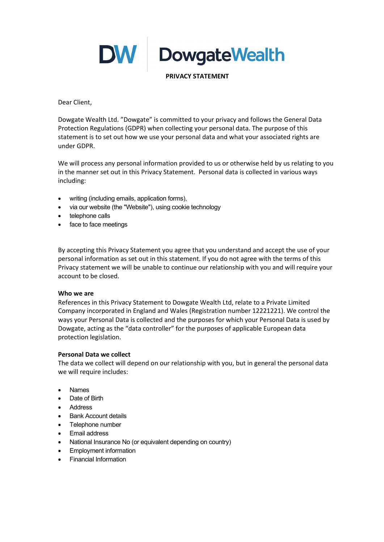**DW** DowgateWealth

PRIVACY STATEMENT

Dear Client,

Dowgate Wealth Ltd. "Dowgate" is committed to your privacy and follows the General Data Protection Regulations (GDPR) when collecting your personal data. The purpose of this statement is to set out how we use your personal data and what your associated rights are under GDPR.

We will process any personal information provided to us or otherwise held by us relating to you in the manner set out in this Privacy Statement. Personal data is collected in various ways including:

- writing (including emails, application forms),
- via our website (the "Website"), using cookie technology
- telephone calls
- face to face meetings

By accepting this Privacy Statement you agree that you understand and accept the use of your personal information as set out in this statement. If you do not agree with the terms of this Privacy statement we will be unable to continue our relationship with you and will require your account to be closed.

## Who we are

References in this Privacy Statement to Dowgate Wealth Ltd, relate to a Private Limited Company incorporated in England and Wales (Registration number 12221221). We control the ways your Personal Data is collected and the purposes for which your Personal Data is used by Dowgate, acting as the "data controller" for the purposes of applicable European data protection legislation.

## Personal Data we collect

The data we collect will depend on our relationship with you, but in general the personal data we will require includes:

- Names
- Date of Birth
- **•** Address
- Bank Account details
- Telephone number
- Email address
- National Insurance No (or equivalent depending on country)
- Employment information
- Financial Information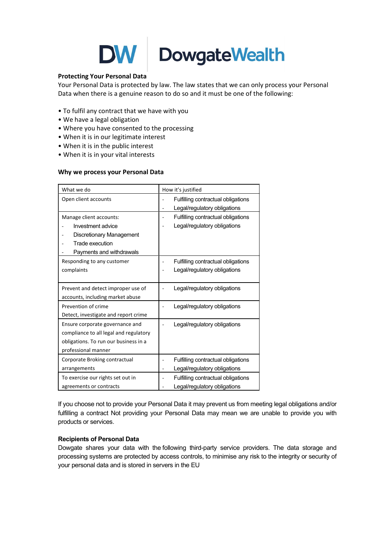

# DowgateWealth

## Protecting Your Personal Data

Your Personal Data is protected by law. The law states that we can only process your Personal Data when there is a genuine reason to do so and it must be one of the following:

- To fulfil any contract that we have with you
- We have a legal obligation
- Where you have consented to the processing
- When it is in our legitimate interest
- When it is in the public interest
- When it is in your vital interests

#### Why we process your Personal Data

| What we do                             | How it's justified                       |
|----------------------------------------|------------------------------------------|
| Open client accounts                   | Fulfilling contractual obligations       |
|                                        | Legal/regulatory obligations             |
| Manage client accounts:                | Fulfilling contractual obligations<br>÷, |
| Investment advice                      | Legal/regulatory obligations             |
| <b>Discretionary Management</b>        |                                          |
| Trade execution                        |                                          |
| Payments and withdrawals               |                                          |
| Responding to any customer             | Fulfilling contractual obligations       |
| complaints                             | Legal/regulatory obligations             |
|                                        |                                          |
| Prevent and detect improper use of     | Legal/regulatory obligations             |
| accounts, including market abuse       |                                          |
| Prevention of crime                    | Legal/regulatory obligations             |
| Detect, investigate and report crime   |                                          |
| Ensure corporate governance and        | Legal/regulatory obligations             |
| compliance to all legal and regulatory |                                          |
| obligations. To run our business in a  |                                          |
| professional manner                    |                                          |
| Corporate Broking contractual          | Fulfilling contractual obligations       |
| arrangements                           | Legal/regulatory obligations             |
| To exercise our rights set out in      | Fulfilling contractual obligations       |
| agreements or contracts                | Legal/regulatory obligations             |

If you choose not to provide your Personal Data it may prevent us from meeting legal obligations and/or fulfilling a contract Not providing your Personal Data may mean we are unable to provide you with products or services.

## Recipients of Personal Data

Dowgate shares your data with the following third-party service providers. The data storage and processing systems are protected by access controls, to minimise any risk to the integrity or security of your personal data and is stored in servers in the EU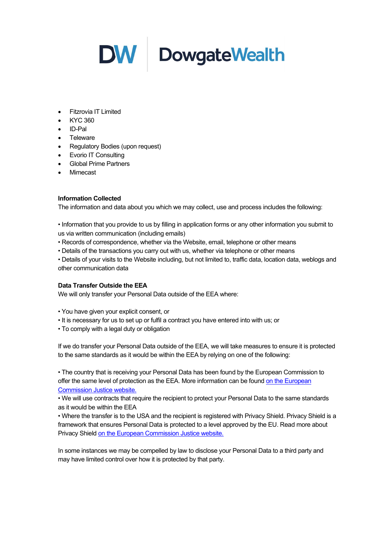

- **•** Fitzrovia IT Limited
- KYC 360
- ID-Pal
- Teleware
- Regulatory Bodies (upon request)
- Evorio IT Consulting
- Global Prime Partners
- Mimecast

## Information Collected

The information and data about you which we may collect, use and process includes the following:

• Information that you provide to us by filling in application forms or any other information you submit to us via written communication (including emails)

- Records of correspondence, whether via the Website, email, telephone or other means
- Details of the transactions you carry out with us, whether via telephone or other means

• Details of your visits to the Website including, but not limited to, traffic data, location data, weblogs and other communication data

## Data Transfer Outside the EEA

We will only transfer your Personal Data outside of the EEA where:

- You have given your explicit consent, or
- It is necessary for us to set up or fulfil a contract you have entered into with us; or
- To comply with a legal duty or obligation

If we do transfer your Personal Data outside of the EEA, we will take measures to ensure it is protected to the same standards as it would be within the EEA by relying on one of the following:

• The country that is receiving your Personal Data has been found by the European Commission to offer the same level of protection as the EEA. More information can be found on the European Commission Justice website.

• We will use contracts that require the recipient to protect your Personal Data to the same standards as it would be within the EEA

• Where the transfer is to the USA and the recipient is registered with Privacy Shield. Privacy Shield is a framework that ensures Personal Data is protected to a level approved by the EU. Read more about Privacy Shield on the European Commission Justice website.

In some instances we may be compelled by law to disclose your Personal Data to a third party and may have limited control over how it is protected by that party.